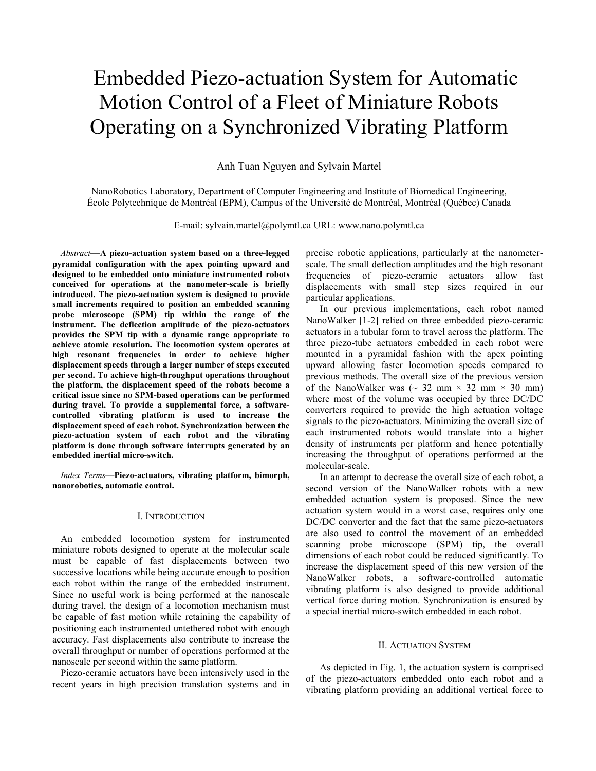# Embedded Piezo-actuation System for Automatic Motion Control of a Fleet of Miniature Robots Operating on a Synchronized Vibrating Platform

Anh Tuan Nguyen and Sylvain Martel

NanoRobotics Laboratory, Department of Computer Engineering and Institute of Biomedical Engineering, École Polytechnique de Montréal (EPM), Campus of the Université de Montréal, Montréal (Québec) Canada

E-mail: sylvain.martel@polymtl.ca URL: www.nano.polymtl.ca

 Abstract—A piezo-actuation system based on a three-legged pyramidal configuration with the apex pointing upward and designed to be embedded onto miniature instrumented robots conceived for operations at the nanometer-scale is briefly introduced. The piezo-actuation system is designed to provide small increments required to position an embedded scanning probe microscope (SPM) tip within the range of the instrument. The deflection amplitude of the piezo-actuators provides the SPM tip with a dynamic range appropriate to achieve atomic resolution. The locomotion system operates at high resonant frequencies in order to achieve higher displacement speeds through a larger number of steps executed per second. To achieve high-throughput operations throughout the platform, the displacement speed of the robots become a critical issue since no SPM-based operations can be performed during travel. To provide a supplemental force, a softwarecontrolled vibrating platform is used to increase the displacement speed of each robot. Synchronization between the piezo-actuation system of each robot and the vibrating platform is done through software interrupts generated by an embedded inertial micro-switch.

 Index Terms—Piezo-actuators, vibrating platform, bimorph, nanorobotics, automatic control.

## I. INTRODUCTION

 An embedded locomotion system for instrumented miniature robots designed to operate at the molecular scale must be capable of fast displacements between two successive locations while being accurate enough to position each robot within the range of the embedded instrument. Since no useful work is being performed at the nanoscale during travel, the design of a locomotion mechanism must be capable of fast motion while retaining the capability of positioning each instrumented untethered robot with enough accuracy. Fast displacements also contribute to increase the overall throughput or number of operations performed at the nanoscale per second within the same platform.

 Piezo-ceramic actuators have been intensively used in the recent years in high precision translation systems and in precise robotic applications, particularly at the nanometerscale. The small deflection amplitudes and the high resonant frequencies of piezo-ceramic actuators allow fast displacements with small step sizes required in our particular applications.

In our previous implementations, each robot named NanoWalker [1-2] relied on three embedded piezo-ceramic actuators in a tubular form to travel across the platform. The three piezo-tube actuators embedded in each robot were mounted in a pyramidal fashion with the apex pointing upward allowing faster locomotion speeds compared to previous methods. The overall size of the previous version of the NanoWalker was  $\sim$  32 mm  $\times$  32 mm  $\times$  30 mm) where most of the volume was occupied by three DC/DC converters required to provide the high actuation voltage signals to the piezo-actuators. Minimizing the overall size of each instrumented robots would translate into a higher density of instruments per platform and hence potentially increasing the throughput of operations performed at the molecular-scale.

In an attempt to decrease the overall size of each robot, a second version of the NanoWalker robots with a new embedded actuation system is proposed. Since the new actuation system would in a worst case, requires only one DC/DC converter and the fact that the same piezo-actuators are also used to control the movement of an embedded scanning probe microscope (SPM) tip, the overall dimensions of each robot could be reduced significantly. To increase the displacement speed of this new version of the NanoWalker robots, a software-controlled automatic vibrating platform is also designed to provide additional vertical force during motion. Synchronization is ensured by a special inertial micro-switch embedded in each robot.

### II. ACTUATION SYSTEM

As depicted in Fig. 1, the actuation system is comprised of the piezo-actuators embedded onto each robot and a vibrating platform providing an additional vertical force to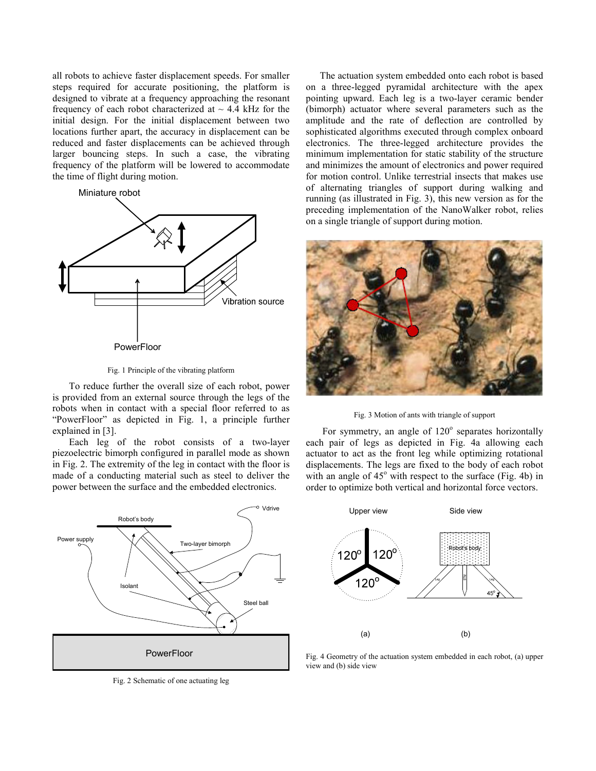all robots to achieve faster displacement speeds. For smaller steps required for accurate positioning, the platform is designed to vibrate at a frequency approaching the resonant frequency of each robot characterized at  $\sim$  4.4 kHz for the initial design. For the initial displacement between two locations further apart, the accuracy in displacement can be reduced and faster displacements can be achieved through larger bouncing steps. In such a case, the vibrating frequency of the platform will be lowered to accommodate the time of flight during motion.



Fig. 1 Principle of the vibrating platform

 To reduce further the overall size of each robot, power is provided from an external source through the legs of the robots when in contact with a special floor referred to as "PowerFloor" as depicted in Fig. 1, a principle further explained in [3].

 Each leg of the robot consists of a two-layer piezoelectric bimorph configured in parallel mode as shown in Fig. 2. The extremity of the leg in contact with the floor is made of a conducting material such as steel to deliver the power between the surface and the embedded electronics.



Fig. 2 Schematic of one actuating leg

The actuation system embedded onto each robot is based on a three-legged pyramidal architecture with the apex pointing upward. Each leg is a two-layer ceramic bender (bimorph) actuator where several parameters such as the amplitude and the rate of deflection are controlled by sophisticated algorithms executed through complex onboard electronics. The three-legged architecture provides the minimum implementation for static stability of the structure and minimizes the amount of electronics and power required for motion control. Unlike terrestrial insects that makes use of alternating triangles of support during walking and running (as illustrated in Fig. 3), this new version as for the preceding implementation of the NanoWalker robot, relies on a single triangle of support during motion.



Fig. 3 Motion of ants with triangle of support

For symmetry, an angle of 120° separates horizontally each pair of legs as depicted in Fig. 4a allowing each actuator to act as the front leg while optimizing rotational displacements. The legs are fixed to the body of each robot with an angle of  $45^{\circ}$  with respect to the surface (Fig. 4b) in order to optimize both vertical and horizontal force vectors.



Fig. 4 Geometry of the actuation system embedded in each robot, (a) upper view and (b) side view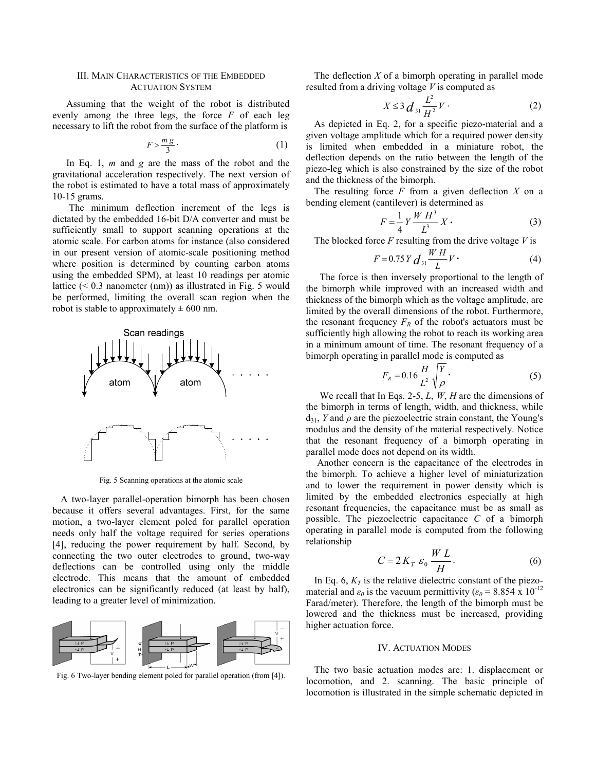## III. MAIN CHARACTERISTICS OF THE EMBEDDED ACTUATION SYSTEM

Assuming that the weight of the robot is distributed evenly among the three legs, the force  $F$  of each leg necessary to lift the robot from the surface of the platform is

$$
F > \frac{m g}{3} \tag{1}
$$

In Eq. 1,  $m$  and  $g$  are the mass of the robot and the gravitational acceleration respectively. The next version of the robot is estimated to have a total mass of approximately 10-15 grams.

 The minimum deflection increment of the legs is dictated by the embedded 16-bit D/A converter and must be sufficiently small to support scanning operations at the atomic scale. For carbon atoms for instance (also considered in our present version of atomic-scale positioning method where position is determined by counting carbon atoms using the embedded SPM), at least 10 readings per atomic lattice (< 0.3 nanometer (nm)) as illustrated in Fig. 5 would be performed, limiting the overall scan region when the robot is stable to approximately  $\pm 600$  nm.



Fig. 5 Scanning operations at the atomic scale

 A two-layer parallel-operation bimorph has been chosen because it offers several advantages. First, for the same motion, a two-layer element poled for parallel operation needs only half the voltage required for series operations [4], reducing the power requirement by half. Second, by connecting the two outer electrodes to ground, two-way deflections can be controlled using only the middle electrode. This means that the amount of embedded electronics can be significantly reduced (at least by half), leading to a greater level of minimization.



Fig. 6 Two-layer bending element poled for parallel operation (from [4]).

The deflection  $X$  of a bimorph operating in parallel mode resulted from a driving voltage  $V$  is computed as

$$
X \le 3 \frac{L^2}{H^2} V \tag{2}
$$

 As depicted in Eq. 2, for a specific piezo-material and a given voltage amplitude which for a required power density is limited when embedded in a miniature robot, the deflection depends on the ratio between the length of the piezo-leg which is also constrained by the size of the robot and the thickness of the bimorph.

The resulting force  $F$  from a given deflection  $X$  on a bending element (cantilever) is determined as

$$
F = \frac{1}{4} Y \frac{W H^3}{L^3} X \tag{3}
$$

The blocked force  $F$  resulting from the drive voltage  $V$  is

$$
F = 0.75 Y \frac{d}{dt} \frac{WH}{L} V \tag{4}
$$

The force is then inversely proportional to the length of the bimorph while improved with an increased width and thickness of the bimorph which as the voltage amplitude, are limited by the overall dimensions of the robot. Furthermore, the resonant frequency  $F_R$  of the robot's actuators must be sufficiently high allowing the robot to reach its working area in a minimum amount of time. The resonant frequency of a bimorph operating in parallel mode is computed as

$$
F_R = 0.16 \frac{H}{L^2} \sqrt{\frac{Y}{\rho}}.
$$
\n(5)

We recall that In Eqs. 2-5,  $L$ ,  $W$ ,  $H$  are the dimensions of the bimorph in terms of length, width, and thickness, while  $d_{31}$ , Y and  $\rho$  are the piezoelectric strain constant, the Young's modulus and the density of the material respectively. Notice that the resonant frequency of a bimorph operating in parallel mode does not depend on its width.

Another concern is the capacitance of the electrodes in the bimorph. To achieve a higher level of miniaturization and to lower the requirement in power density which is limited by the embedded electronics especially at high resonant frequencies, the capacitance must be as small as possible. The piezoelectric capacitance C of a bimorph operating in parallel mode is computed from the following relationship

$$
C = 2K_T \varepsilon_0 \frac{WL}{H}.
$$
 (6)

In Eq. 6,  $K_T$  is the relative dielectric constant of the piezomaterial and  $\varepsilon_0$  is the vacuum permittivity ( $\varepsilon_0$  = 8.854 x 10<sup>-12</sup> Farad/meter). Therefore, the length of the bimorph must be lowered and the thickness must be increased, providing higher actuation force.

#### IV. ACTUATION MODES

 The two basic actuation modes are: 1. displacement or locomotion, and 2. scanning. The basic principle of locomotion is illustrated in the simple schematic depicted in